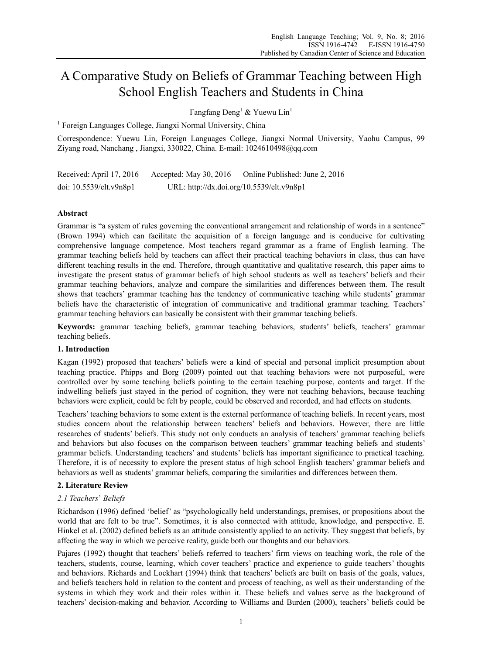# A Comparative Study on Beliefs of Grammar Teaching between High School English Teachers and Students in China

Fangfang  $\text{Deng}^1$  & Yuewu  $\text{Lin}^1$ 

<sup>1</sup> Foreign Languages College, Jiangxi Normal University, China

Correspondence: Yuewu Lin, Foreign Languages College, Jiangxi Normal University, Yaohu Campus, 99 Ziyang road, Nanchang, Jiangxi, 330022, China, E-mail: 1024610498@qq.com

Received: April 17, 2016 Accepted: May 30, 2016 Online Published: June 2, 2016 doi: 10.5539/elt.v9n8p1 URL: http://dx.doi.org/10.5539/elt.v9n8p1

## **Abstract**

Grammar is "a system of rules governing the conventional arrangement and relationship of words in a sentence" (Brown 1994) which can facilitate the acquisition of a foreign language and is conducive for cultivating comprehensive language competence. Most teachers regard grammar as a frame of English learning. The grammar teaching beliefs held by teachers can affect their practical teaching behaviors in class, thus can have different teaching results in the end. Therefore, through quantitative and qualitative research, this paper aims to investigate the present status of grammar beliefs of high school students as well as teachers' beliefs and their grammar teaching behaviors, analyze and compare the similarities and differences between them. The result shows that teachers' grammar teaching has the tendency of communicative teaching while students' grammar beliefs have the characteristic of integration of communicative and traditional grammar teaching. Teachers' grammar teaching behaviors can basically be consistent with their grammar teaching beliefs.

**Keywords:** grammar teaching beliefs, grammar teaching behaviors, students' beliefs, teachers' grammar teaching beliefs.

### **1. Introduction**

Kagan (1992) proposed that teachers' beliefs were a kind of special and personal implicit presumption about teaching practice. Phipps and Borg (2009) pointed out that teaching behaviors were not purposeful, were controlled over by some teaching beliefs pointing to the certain teaching purpose, contents and target. If the indwelling beliefs just stayed in the period of cognition, they were not teaching behaviors, because teaching behaviors were explicit, could be felt by people, could be observed and recorded, and had effects on students.

Teachers' teaching behaviors to some extent is the external performance of teaching beliefs. In recent years, most studies concern about the relationship between teachers' beliefs and behaviors. However, there are little researches of students' beliefs. This study not only conducts an analysis of teachers' grammar teaching beliefs and behaviors but also focuses on the comparison between teachers' grammar teaching beliefs and students' grammar beliefs. Understanding teachers' and students' beliefs has important significance to practical teaching. Therefore, it is of necessity to explore the present status of high school English teachers' grammar beliefs and behaviors as well as students' grammar beliefs, comparing the similarities and differences between them.

### **2. Literature Review**

## *2.1 Teachers*' *Beliefs*

Richardson (1996) defined 'belief' as "psychologically held understandings, premises, or propositions about the world that are felt to be true". Sometimes, it is also connected with attitude, knowledge, and perspective. E. Hinkel et al. (2002) defined beliefs as an attitude consistently applied to an activity. They suggest that beliefs, by affecting the way in which we perceive reality, guide both our thoughts and our behaviors.

Pajares (1992) thought that teachers' beliefs referred to teachers' firm views on teaching work, the role of the teachers, students, course, learning, which cover teachers' practice and experience to guide teachers' thoughts and behaviors. Richards and Lockhart (1994) think that teachers' beliefs are built on basis of the goals, values, and beliefs teachers hold in relation to the content and process of teaching, as well as their understanding of the systems in which they work and their roles within it. These beliefs and values serve as the background of teachers' decision-making and behavior. According to Williams and Burden (2000), teachers' beliefs could be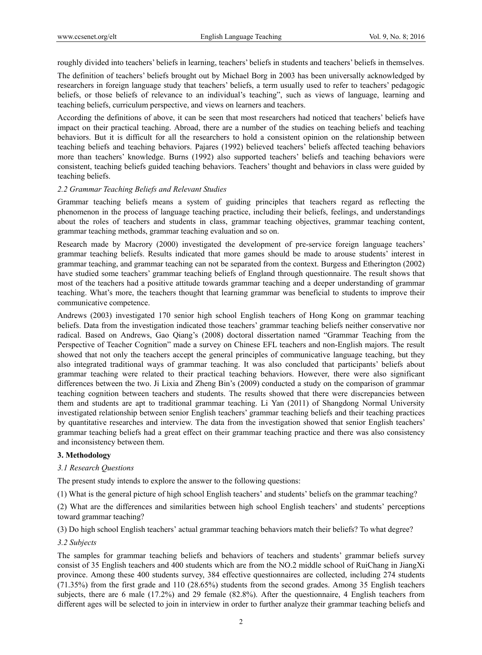roughly divided into teachers' beliefs in learning, teachers' beliefs in students and teachers' beliefs in themselves.

The definition of teachers' beliefs brought out by Michael Borg in 2003 has been universally acknowledged by researchers in foreign language study that teachers' beliefs, a term usually used to refer to teachers' pedagogic beliefs, or those beliefs of relevance to an individual's teaching", such as views of language, learning and teaching beliefs, curriculum perspective, and views on learners and teachers.

According the definitions of above, it can be seen that most researchers had noticed that teachers' beliefs have impact on their practical teaching. Abroad, there are a number of the studies on teaching beliefs and teaching behaviors. But it is difficult for all the researchers to hold a consistent opinion on the relationship between teaching beliefs and teaching behaviors. Pajares (1992) believed teachers' beliefs affected teaching behaviors more than teachers' knowledge. Burns (1992) also supported teachers' beliefs and teaching behaviors were consistent, teaching beliefs guided teaching behaviors. Teachers' thought and behaviors in class were guided by teaching beliefs.

### *2.2 Grammar Teaching Beliefs and Relevant Studies*

Grammar teaching beliefs means a system of guiding principles that teachers regard as reflecting the phenomenon in the process of language teaching practice, including their beliefs, feelings, and understandings about the roles of teachers and students in class, grammar teaching objectives, grammar teaching content, grammar teaching methods, grammar teaching evaluation and so on.

Research made by Macrory (2000) investigated the development of pre-service foreign language teachers' grammar teaching beliefs. Results indicated that more games should be made to arouse students' interest in grammar teaching, and grammar teaching can not be separated from the context. Burgess and Etherington (2002) have studied some teachers' grammar teaching beliefs of England through questionnaire. The result shows that most of the teachers had a positive attitude towards grammar teaching and a deeper understanding of grammar teaching. What's more, the teachers thought that learning grammar was beneficial to students to improve their communicative competence.

Andrews (2003) investigated 170 senior high school English teachers of Hong Kong on grammar teaching beliefs. Data from the investigation indicated those teachers' grammar teaching beliefs neither conservative nor radical. Based on Andrews, Gao Qiang's (2008) doctoral dissertation named "Grammar Teaching from the Perspective of Teacher Cognition" made a survey on Chinese EFL teachers and non-English majors. The result showed that not only the teachers accept the general principles of communicative language teaching, but they also integrated traditional ways of grammar teaching. It was also concluded that participants' beliefs about grammar teaching were related to their practical teaching behaviors. However, there were also significant differences between the two. Ji Lixia and Zheng Bin's (2009) conducted a study on the comparison of grammar teaching cognition between teachers and students. The results showed that there were discrepancies between them and students are apt to traditional grammar teaching. Li Yan (2011) of Shangdong Normal University investigated relationship between senior English teachers' grammar teaching beliefs and their teaching practices by quantitative researches and interview. The data from the investigation showed that senior English teachers' grammar teaching beliefs had a great effect on their grammar teaching practice and there was also consistency and inconsistency between them.

# **3. Methodology**

### *3.1 Research Questions*

The present study intends to explore the answer to the following questions:

(1) What is the general picture of high school English teachers' and students' beliefs on the grammar teaching?

(2) What are the differences and similarities between high school English teachers' and students' perceptions toward grammar teaching?

(3) Do high school English teachers' actual grammar teaching behaviors match their beliefs? To what degree?

#### *3.2 Subjects*

The samples for grammar teaching beliefs and behaviors of teachers and students' grammar beliefs survey consist of 35 English teachers and 400 students which are from the NO.2 middle school of RuiChang in JiangXi province. Among these 400 students survey, 384 effective questionnaires are collected, including 274 students (71.35%) from the first grade and 110 (28.65%) students from the second grades. Among 35 English teachers subjects, there are 6 male (17.2%) and 29 female (82.8%). After the questionnaire, 4 English teachers from different ages will be selected to join in interview in order to further analyze their grammar teaching beliefs and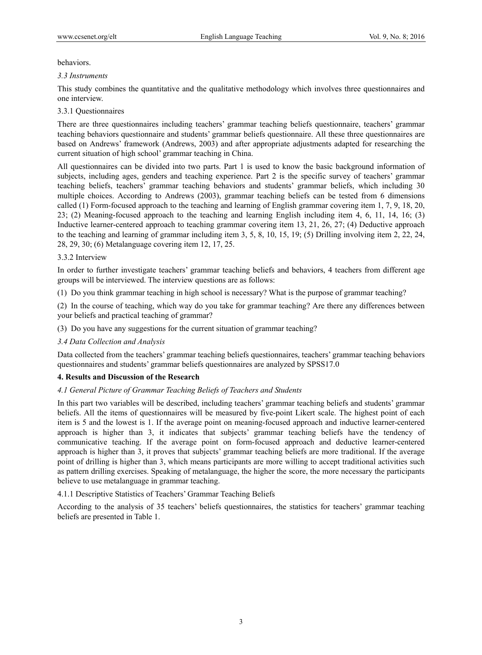### behaviors.

### *3.3 Instruments*

This study combines the quantitative and the qualitative methodology which involves three questionnaires and one interview.

## 3.3.1 Questionnaires

There are three questionnaires including teachers' grammar teaching beliefs questionnaire, teachers' grammar teaching behaviors questionnaire and students' grammar beliefs questionnaire. All these three questionnaires are based on Andrews' framework (Andrews, 2003) and after appropriate adjustments adapted for researching the current situation of high school' grammar teaching in China.

All questionnaires can be divided into two parts. Part 1 is used to know the basic background information of subjects, including ages, genders and teaching experience. Part 2 is the specific survey of teachers' grammar teaching beliefs, teachers' grammar teaching behaviors and students' grammar beliefs, which including 30 multiple choices. According to Andrews (2003), grammar teaching beliefs can be tested from 6 dimensions called (1) Form-focused approach to the teaching and learning of English grammar covering item 1, 7, 9, 18, 20, 23; (2) Meaning-focused approach to the teaching and learning English including item 4, 6, 11, 14, 16; (3) Inductive learner-centered approach to teaching grammar covering item 13, 21, 26, 27; (4) Deductive approach to the teaching and learning of grammar including item 3, 5, 8, 10, 15, 19; (5) Drilling involving item 2, 22, 24, 28, 29, 30; (6) Metalanguage covering item 12, 17, 25.

## 3.3.2 Interview

In order to further investigate teachers' grammar teaching beliefs and behaviors, 4 teachers from different age groups will be interviewed. The interview questions are as follows:

(1) Do you think grammar teaching in high school is necessary? What is the purpose of grammar teaching?

(2) In the course of teaching, which way do you take for grammar teaching? Are there any differences between your beliefs and practical teaching of grammar?

(3) Do you have any suggestions for the current situation of grammar teaching?

#### *3.4 Data Collection and Analysis*

Data collected from the teachers' grammar teaching beliefs questionnaires, teachers' grammar teaching behaviors questionnaires and students' grammar beliefs questionnaires are analyzed by SPSS17.0

### **4. Results and Discussion of the Research**

#### *4.1 General Picture of Grammar Teaching Beliefs of Teachers and Students*

In this part two variables will be described, including teachers' grammar teaching beliefs and students' grammar beliefs. All the items of questionnaires will be measured by five-point Likert scale. The highest point of each item is 5 and the lowest is 1. If the average point on meaning-focused approach and inductive learner-centered approach is higher than 3, it indicates that subjects' grammar teaching beliefs have the tendency of communicative teaching. If the average point on form-focused approach and deductive learner-centered approach is higher than 3, it proves that subjects' grammar teaching beliefs are more traditional. If the average point of drilling is higher than 3, which means participants are more willing to accept traditional activities such as pattern drilling exercises. Speaking of metalanguage, the higher the score, the more necessary the participants believe to use metalanguage in grammar teaching.

4.1.1 Descriptive Statistics of Teachers' Grammar Teaching Beliefs

According to the analysis of 35 teachers' beliefs questionnaires, the statistics for teachers' grammar teaching beliefs are presented in Table 1.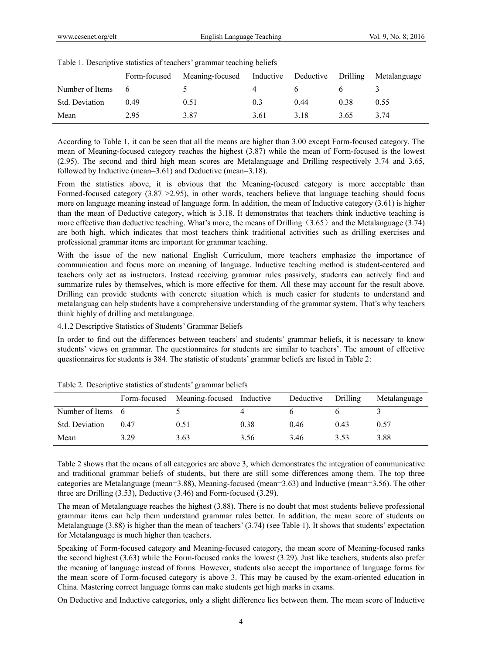|                 | Form-focused | Meaning-focused |      | Inductive Deductive Drilling |      | Metalanguage |
|-----------------|--------------|-----------------|------|------------------------------|------|--------------|
| Number of Items | h            |                 |      |                              |      |              |
| Std. Deviation  | 0.49         | 0.51            | 0.3  | 0.44                         | 0.38 | 0.55         |
| Mean            | 2.95         | 3.87            | 3.61 | 3.18                         | 3.65 | 3.74         |

|  |  |  |  |  |  | Table 1. Descriptive statistics of teachers' grammar teaching beliefs |
|--|--|--|--|--|--|-----------------------------------------------------------------------|
|--|--|--|--|--|--|-----------------------------------------------------------------------|

According to Table 1, it can be seen that all the means are higher than 3.00 except Form-focused category. The mean of Meaning-focused category reaches the highest (3.87) while the mean of Form-focused is the lowest (2.95). The second and third high mean scores are Metalanguage and Drilling respectively 3.74 and 3.65, followed by Inductive (mean=3.61) and Deductive (mean=3.18).

From the statistics above, it is obvious that the Meaning-focused category is more acceptable than Formed-focused category (3.87 >2.95), in other words, teachers believe that language teaching should focus more on language meaning instead of language form. In addition, the mean of Inductive category (3.61) is higher than the mean of Deductive category, which is 3.18. It demonstrates that teachers think inductive teaching is more effective than deductive teaching. What's more, the means of Drilling  $(3.65)$  and the Metalanguage  $(3.74)$ are both high, which indicates that most teachers think traditional activities such as drilling exercises and professional grammar items are important for grammar teaching.

With the issue of the new national English Curriculum, more teachers emphasize the importance of communication and focus more on meaning of language. Inductive teaching method is student-centered and teachers only act as instructors. Instead receiving grammar rules passively, students can actively find and summarize rules by themselves, which is more effective for them. All these may account for the result above. Drilling can provide students with concrete situation which is much easier for students to understand and metalanguag can help students have a comprehensive understanding of the grammar system. That's why teachers think highly of drilling and metalanguage.

4.1.2 Descriptive Statistics of Students' Grammar Beliefs

In order to find out the differences between teachers' and students' grammar beliefs, it is necessary to know students' views on grammar. The questionnaires for students are similar to teachers'. The amount of effective questionnaires for students is 384. The statistic of students' grammar beliefs are listed in Table 2:

|                   | Form-focused | Meaning-focused Inductive |      | Deductive | Drilling | Metalanguage |
|-------------------|--------------|---------------------------|------|-----------|----------|--------------|
| Number of Items 6 |              |                           |      |           |          |              |
| Std. Deviation    | 0.47         | 0.51                      | 0.38 | 0.46      | 0.43     | 0.57         |
| Mean              | 3.29         | 3.63                      | 3.56 | 3.46      | 3.53     | 3.88         |

| Table 2. Descriptive statistics of students' grammar beliefs |  |  |
|--------------------------------------------------------------|--|--|
|                                                              |  |  |

Table 2 shows that the means of all categories are above 3, which demonstrates the integration of communicative and traditional grammar beliefs of students, but there are still some differences among them. The top three categories are Metalanguage (mean=3.88), Meaning-focused (mean=3.63) and Inductive (mean=3.56). The other three are Drilling (3.53), Deductive (3.46) and Form-focused (3.29).

The mean of Metalanguage reaches the highest (3.88). There is no doubt that most students believe professional grammar items can help them understand grammar rules better. In addition, the mean score of students on Metalanguage (3.88) is higher than the mean of teachers' (3.74) (see Table 1). It shows that students' expectation for Metalanguage is much higher than teachers.

Speaking of Form-focused category and Meaning-focused category, the mean score of Meaning-focused ranks the second highest (3.63) while the Form-focused ranks the lowest (3.29). Just like teachers, students also prefer the meaning of language instead of forms. However, students also accept the importance of language forms for the mean score of Form-focused category is above 3. This may be caused by the exam-oriented education in China. Mastering correct language forms can make students get high marks in exams.

On Deductive and Inductive categories, only a slight difference lies between them. The mean score of Inductive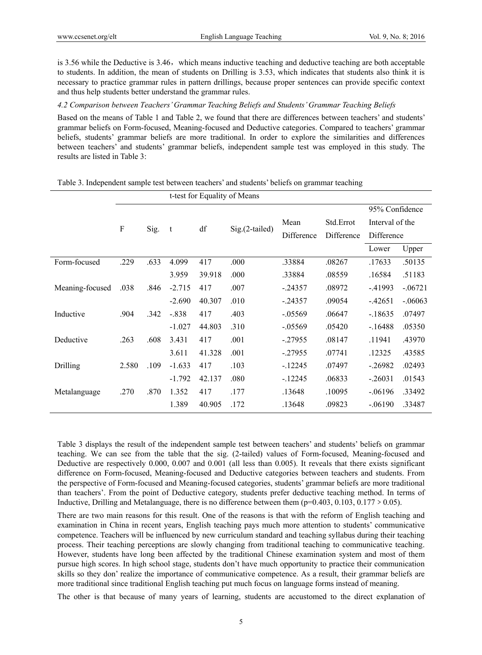is 3.56 while the Deductive is 3.46, which means inductive teaching and deductive teaching are both acceptable to students. In addition, the mean of students on Drilling is 3.53, which indicates that students also think it is necessary to practice grammar rules in pattern drillings, because proper sentences can provide specific context and thus help students better understand the grammar rules.

*4.2 Comparison between Teachers' Grammar Teaching Beliefs and Students' Grammar Teaching Beliefs* 

Based on the means of Table 1 and Table 2, we found that there are differences between teachers' and students' grammar beliefs on Form-focused, Meaning-focused and Deductive categories. Compared to teachers' grammar beliefs, students' grammar beliefs are more traditional. In order to explore the similarities and differences between teachers' and students' grammar beliefs, independent sample test was employed in this study. The results are listed in Table 3:

|                 |                  | t-test for Equality of Means |          |        |                |            |            |                 |                |  |
|-----------------|------------------|------------------------------|----------|--------|----------------|------------|------------|-----------------|----------------|--|
|                 |                  |                              |          |        |                |            |            |                 | 95% Confidence |  |
|                 | $\boldsymbol{F}$ | Sig.                         | t        | df     | Sig.(2-tailed) | Mean       | Std.Errot  | Interval of the |                |  |
|                 |                  |                              |          |        |                | Difference | Difference | Difference      |                |  |
|                 |                  |                              |          |        |                |            |            | Lower           | Upper          |  |
| Form-focused    | .229             | .633                         | 4.099    | 417    | .000           | .33884     | .08267     | .17633          | .50135         |  |
|                 |                  |                              | 3.959    | 39.918 | .000           | .33884     | .08559     | .16584          | .51183         |  |
| Meaning-focused | .038             | .846                         | $-2.715$ | 417    | .007           | $-.24357$  | .08972     | $-41993$        | $-.06721$      |  |
|                 |                  |                              | $-2.690$ | 40.307 | .010           | $-.24357$  | .09054     | $-42651$        | $-.06063$      |  |
| Inductive       | .904             | .342                         | $-.838$  | 417    | .403           | $-.05569$  | .06647     | $-18635$        | .07497         |  |
|                 |                  |                              | $-1.027$ | 44.803 | .310           | $-.05569$  | .05420     | $-.16488$       | .05350         |  |
| Deductive       | .263             | .608                         | 3.431    | 417    | .001           | $-.27955$  | .08147     | .11941          | .43970         |  |
|                 |                  |                              | 3.611    | 41.328 | .001           | $-.27955$  | .07741     | .12325          | .43585         |  |
| Drilling        | 2.580            | .109                         | $-1.633$ | 417    | .103           | $-12245$   | .07497     | $-0.26982$      | .02493         |  |
|                 |                  |                              | $-1.792$ | 42.137 | .080           | $-12245$   | .06833     | $-.26031$       | .01543         |  |
| Metalanguage    | .270             | .870                         | 1.352    | 417    | .177           | .13648     | .10095     | $-.06196$       | .33492         |  |
|                 |                  |                              | 1.389    | 40.905 | .172           | .13648     | .09823     | $-.06190$       | .33487         |  |
|                 |                  |                              |          |        |                |            |            |                 |                |  |

Table 3. Independent sample test between teachers' and students' beliefs on grammar teaching

Table 3 displays the result of the independent sample test between teachers' and students' beliefs on grammar teaching. We can see from the table that the sig. (2-tailed) values of Form-focused, Meaning-focused and Deductive are respectively 0.000, 0.007 and 0.001 (all less than 0.005). It reveals that there exists significant difference on Form-focused, Meaning-focused and Deductive categories between teachers and students. From the perspective of Form-focused and Meaning-focused categories, students' grammar beliefs are more traditional than teachers'. From the point of Deductive category, students prefer deductive teaching method. In terms of Inductive, Drilling and Metalanguage, there is no difference between them  $(p=0.403, 0.103, 0.177 \ge 0.05)$ .

There are two main reasons for this result. One of the reasons is that with the reform of English teaching and examination in China in recent years, English teaching pays much more attention to students' communicative competence. Teachers will be influenced by new curriculum standard and teaching syllabus during their teaching process. Their teaching perceptions are slowly changing from traditional teaching to communicative teaching. However, students have long been affected by the traditional Chinese examination system and most of them pursue high scores. In high school stage, students don't have much opportunity to practice their communication skills so they don' realize the importance of communicative competence. As a result, their grammar beliefs are more traditional since traditional English teaching put much focus on language forms instead of meaning.

The other is that because of many years of learning, students are accustomed to the direct explanation of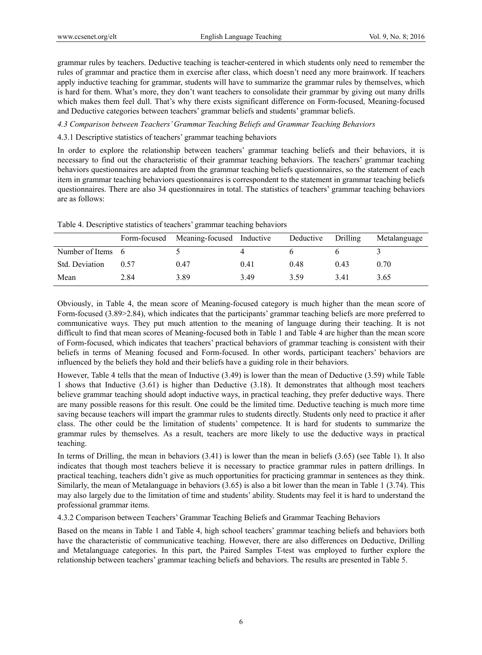grammar rules by teachers. Deductive teaching is teacher-centered in which students only need to remember the rules of grammar and practice them in exercise after class, which doesn't need any more brainwork. If teachers apply inductive teaching for grammar, students will have to summarize the grammar rules by themselves, which is hard for them. What's more, they don't want teachers to consolidate their grammar by giving out many drills which makes them feel dull. That's why there exists significant difference on Form-focused, Meaning-focused and Deductive categories between teachers' grammar beliefs and students' grammar beliefs.

#### *4.3 Comparison between Teachers' Grammar Teaching Beliefs and Grammar Teaching Behaviors*

4.3.1 Descriptive statistics of teachers' grammar teaching behaviors

In order to explore the relationship between teachers' grammar teaching beliefs and their behaviors, it is necessary to find out the characteristic of their grammar teaching behaviors. The teachers' grammar teaching behaviors questionnaires are adapted from the grammar teaching beliefs questionnaires, so the statement of each item in grammar teaching behaviors questionnaires is correspondent to the statement in grammar teaching beliefs questionnaires. There are also 34 questionnaires in total. The statistics of teachers' grammar teaching behaviors are as follows:

|  | Table 4. Descriptive statistics of teachers' grammar teaching behaviors |  |  |
|--|-------------------------------------------------------------------------|--|--|
|  |                                                                         |  |  |

|                   | Form-focused | Meaning-focused Inductive |      | Deductive | Drilling | Metalanguage |
|-------------------|--------------|---------------------------|------|-----------|----------|--------------|
| Number of Items 6 |              |                           |      |           |          |              |
| Std. Deviation    | 0.57         | 0.47                      | 0.41 | 0.48      | 0.43     | 0.70         |
| Mean              | 2.84         | 3.89                      | 3.49 | 3.59      | 3.41     | 3.65         |

Obviously, in Table 4, the mean score of Meaning-focused category is much higher than the mean score of Form-focused (3.89>2.84), which indicates that the participants' grammar teaching beliefs are more preferred to communicative ways. They put much attention to the meaning of language during their teaching. It is not difficult to find that mean scores of Meaning-focused both in Table 1 and Table 4 are higher than the mean score of Form-focused, which indicates that teachers' practical behaviors of grammar teaching is consistent with their beliefs in terms of Meaning focused and Form-focused. In other words, participant teachers' behaviors are influenced by the beliefs they hold and their beliefs have a guiding role in their behaviors.

However, Table 4 tells that the mean of Inductive (3.49) is lower than the mean of Deductive (3.59) while Table 1 shows that Inductive (3.61) is higher than Deductive (3.18). It demonstrates that although most teachers believe grammar teaching should adopt inductive ways, in practical teaching, they prefer deductive ways. There are many possible reasons for this result. One could be the limited time. Deductive teaching is much more time saving because teachers will impart the grammar rules to students directly. Students only need to practice it after class. The other could be the limitation of students' competence. It is hard for students to summarize the grammar rules by themselves. As a result, teachers are more likely to use the deductive ways in practical teaching.

In terms of Drilling, the mean in behaviors (3.41) is lower than the mean in beliefs (3.65) (see Table 1). It also indicates that though most teachers believe it is necessary to practice grammar rules in pattern drillings. In practical teaching, teachers didn't give as much opportunities for practicing grammar in sentences as they think. Similarly, the mean of Metalanguage in behaviors (3.65) is also a bit lower than the mean in Table 1 (3.74). This may also largely due to the limitation of time and students' ability. Students may feel it is hard to understand the professional grammar items.

4.3.2 Comparison between Teachers' Grammar Teaching Beliefs and Grammar Teaching Behaviors

Based on the means in Table 1 and Table 4, high school teachers' grammar teaching beliefs and behaviors both have the characteristic of communicative teaching. However, there are also differences on Deductive, Drilling and Metalanguage categories. In this part, the Paired Samples T-test was employed to further explore the relationship between teachers' grammar teaching beliefs and behaviors. The results are presented in Table 5.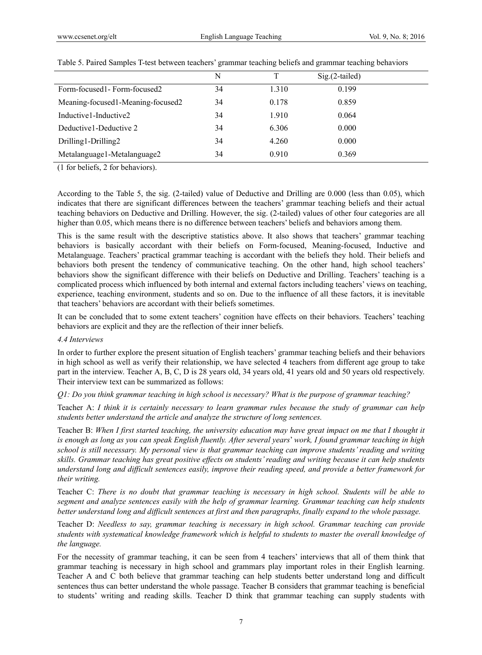|                                   | N  |       | $Sig.(2-tailed)$ |  |
|-----------------------------------|----|-------|------------------|--|
| Form-focused1-Form-focused2       | 34 | 1.310 | 0.199            |  |
| Meaning-focused1-Meaning-focused2 | 34 | 0.178 | 0.859            |  |
| Inductive1-Inductive2             | 34 | 1.910 | 0.064            |  |
| Deductive 1-Deductive 2           | 34 | 6.306 | 0.000            |  |
| Drilling1-Drilling2               | 34 | 4.260 | 0.000            |  |
| Metalanguage1-Metalanguage2       | 34 | 0.910 | 0.369            |  |

Table 5. Paired Samples T-test between teachers' grammar teaching beliefs and grammar teaching behaviors

(1 for beliefs, 2 for behaviors).

According to the Table 5, the sig. (2-tailed) value of Deductive and Drilling are 0.000 (less than 0.05), which indicates that there are significant differences between the teachers' grammar teaching beliefs and their actual teaching behaviors on Deductive and Drilling. However, the sig. (2-tailed) values of other four categories are all higher than 0.05, which means there is no difference between teachers' beliefs and behaviors among them.

This is the same result with the descriptive statistics above. It also shows that teachers' grammar teaching behaviors is basically accordant with their beliefs on Form-focused, Meaning-focused, Inductive and Metalanguage. Teachers' practical grammar teaching is accordant with the beliefs they hold. Their beliefs and behaviors both present the tendency of communicative teaching. On the other hand, high school teachers' behaviors show the significant difference with their beliefs on Deductive and Drilling. Teachers' teaching is a complicated process which influenced by both internal and external factors including teachers' views on teaching, experience, teaching environment, students and so on. Due to the influence of all these factors, it is inevitable that teachers' behaviors are accordant with their beliefs sometimes.

It can be concluded that to some extent teachers' cognition have effects on their behaviors. Teachers' teaching behaviors are explicit and they are the reflection of their inner beliefs.

#### *4.4 Interviews*

In order to further explore the present situation of English teachers' grammar teaching beliefs and their behaviors in high school as well as verify their relationship, we have selected 4 teachers from different age group to take part in the interview. Teacher A, B, C, D is 28 years old, 34 years old, 41 years old and 50 years old respectively. Their interview text can be summarized as follows:

*Q1: Do you think grammar teaching in high school is necessary? What is the purpose of grammar teaching?* 

Teacher A: *I think it is certainly necessary to learn grammar rules because the study of grammar can help students better understand the article and analyze the structure of long sentences.*

Teacher B: *When I first started teaching, the university education may have great impact on me that I thought it is enough as long as you can speak English fluently. After several years*' *work, I found grammar teaching in high school is still necessary. My personal view is that grammar teaching can improve students' reading and writing skills. Grammar teaching has great positive effects on students' reading and writing because it can help students understand long and difficult sentences easily, improve their reading speed, and provide a better framework for their writing.* 

Teacher C: *There is no doubt that grammar teaching is necessary in high school. Students will be able to segment and analyze sentences easily with the help of grammar learning. Grammar teaching can help students better understand long and difficult sentences at first and then paragraphs, finally expand to the whole passage.*

Teacher D: *Needless to say, grammar teaching is necessary in high school. Grammar teaching can provide students with systematical knowledge framework which is helpful to students to master the overall knowledge of the language.* 

For the necessity of grammar teaching, it can be seen from 4 teachers' interviews that all of them think that grammar teaching is necessary in high school and grammars play important roles in their English learning. Teacher A and C both believe that grammar teaching can help students better understand long and difficult sentences thus can better understand the whole passage. Teacher B considers that grammar teaching is beneficial to students' writing and reading skills. Teacher D think that grammar teaching can supply students with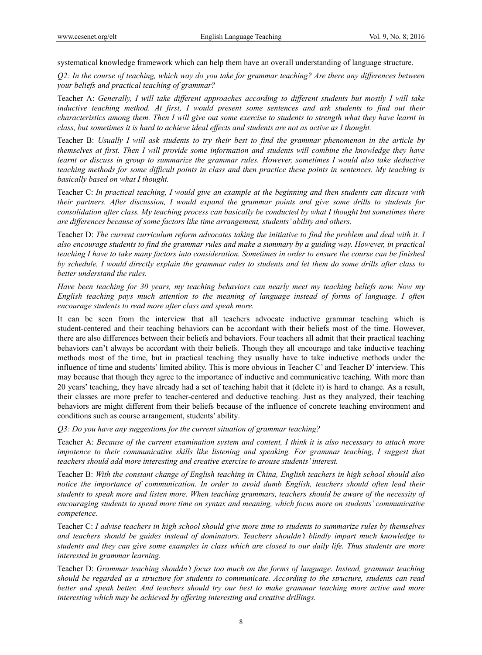systematical knowledge framework which can help them have an overall understanding of language structure.

*Q2: In the course of teaching, which way do you take for grammar teaching? Are there any differences between your beliefs and practical teaching of grammar?* 

Teacher A: *Generally, I will take different approaches according to different students but mostly I will take inductive teaching method. At first, I would present some sentences and ask students to find out their characteristics among them. Then I will give out some exercise to students to strength what they have learnt in class, but sometimes it is hard to achieve ideal effects and students are not as active as I thought.* 

Teacher B: *Usually I will ask students to try their best to find the grammar phenomenon in the article by themselves at first. Then I will provide some information and students will combine the knowledge they have learnt or discuss in group to summarize the grammar rules. However, sometimes I would also take deductive teaching methods for some difficult points in class and then practice these points in sentences. My teaching is basically based on what I thought.* 

Teacher C: *In practical teaching, I would give an example at the beginning and then students can discuss with their partners. After discussion, I would expand the grammar points and give some drills to students for consolidation after class. My teaching process can basically be conducted by what I thought but sometimes there are differences because of some factors like time arrangement, students' ability and others.* 

Teacher D: *The current curriculum reform advocates taking the initiative to find the problem and deal with it. I also encourage students to find the grammar rules and make a summary by a guiding way. However, in practical teaching I have to take many factors into consideration. Sometimes in order to ensure the course can be finished by schedule, I would directly explain the grammar rules to students and let them do some drills after class to better understand the rules.* 

*Have been teaching for 30 years, my teaching behaviors can nearly meet my teaching beliefs now. Now my English teaching pays much attention to the meaning of language instead of forms of language. I often encourage students to read more after class and speak more.* 

It can be seen from the interview that all teachers advocate inductive grammar teaching which is student-centered and their teaching behaviors can be accordant with their beliefs most of the time. However, there are also differences between their beliefs and behaviors. Four teachers all admit that their practical teaching behaviors can't always be accordant with their beliefs. Though they all encourage and take inductive teaching methods most of the time, but in practical teaching they usually have to take inductive methods under the influence of time and students' limited ability. This is more obvious in Teacher C' and Teacher D' interview. This may because that though they agree to the importance of inductive and communicative teaching. With more than 20 years' teaching, they have already had a set of teaching habit that it (delete it) is hard to change. As a result, their classes are more prefer to teacher-centered and deductive teaching. Just as they analyzed, their teaching behaviors are might different from their beliefs because of the influence of concrete teaching environment and conditions such as course arrangement, students' ability.

*Q3: Do you have any suggestions for the current situation of grammar teaching?* 

Teacher A: *Because of the current examination system and content, I think it is also necessary to attach more impotence to their communicative skills like listening and speaking. For grammar teaching, I suggest that teachers should add more interesting and creative exercise to arouse students' interest.* 

Teacher B: *With the constant change of English teaching in China, English teachers in high school should also notice the importance of communication. In order to avoid dumb English, teachers should often lead their students to speak more and listen more. When teaching grammars, teachers should be aware of the necessity of encouraging students to spend more time on syntax and meaning, which focus more on students' communicative competence.*

Teacher C: *I advise teachers in high school should give more time to students to summarize rules by themselves and teachers should be guides instead of dominators. Teachers shouldn't blindly impart much knowledge to students and they can give some examples in class which are closed to our daily life. Thus students are more interested in grammar learning.* 

Teacher D: *Grammar teaching shouldn't focus too much on the forms of language. Instead, grammar teaching should be regarded as a structure for students to communicate. According to the structure, students can read better and speak better. And teachers should try our best to make grammar teaching more active and more interesting which may be achieved by offering interesting and creative drillings.*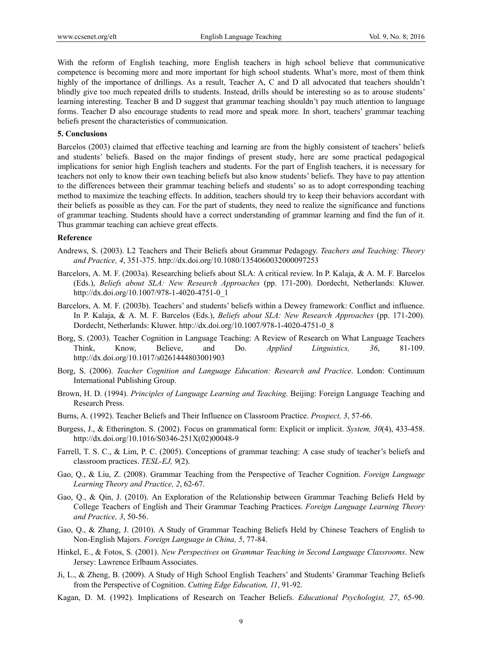With the reform of English teaching, more English teachers in high school believe that communicative competence is becoming more and more important for high school students. What's more, most of them think highly of the importance of drillings. As a result, Teacher A, C and D all advocated that teachers shouldn't blindly give too much repeated drills to students. Instead, drills should be interesting so as to arouse students' learning interesting. Teacher B and D suggest that grammar teaching shouldn't pay much attention to language forms. Teacher D also encourage students to read more and speak more. In short, teachers' grammar teaching beliefs present the characteristics of communication.

#### **5. Conclusions**

Barcelos (2003) claimed that effective teaching and learning are from the highly consistent of teachers' beliefs and students' beliefs. Based on the major findings of present study, here are some practical pedagogical implications for senior high English teachers and students. For the part of English teachers, it is necessary for teachers not only to know their own teaching beliefs but also know students' beliefs. They have to pay attention to the differences between their grammar teaching beliefs and students' so as to adopt corresponding teaching method to maximize the teaching effects. In addition, teachers should try to keep their behaviors accordant with their beliefs as possible as they can. For the part of students, they need to realize the significance and functions of grammar teaching. Students should have a correct understanding of grammar learning and find the fun of it. Thus grammar teaching can achieve great effects.

#### **Reference**

- Andrews, S. (2003). L2 Teachers and Their Beliefs about Grammar Pedagogy. *Teachers and Teaching: Theory and Practice, 4*, 351-375. http://dx.doi.org/10.1080/1354060032000097253
- Barcelors, A. M. F. (2003a). Researching beliefs about SLA: A critical review. In P. Kalaja, & A. M. F. Barcelos (Eds.), *Beliefs about SLA: New Research Approaches* (pp. 171-200). Dordecht, Netherlands: Kluwer. http://dx.doi.org/10.1007/978-1-4020-4751-0\_1
- Barcelors, A. M. F. (2003b). Teachers' and students' beliefs within a Dewey framework: Conflict and influence. In P. Kalaja, & A. M. F. Barcelos (Eds.), *Beliefs about SLA: New Research Approaches* (pp. 171-200). Dordecht, Netherlands: Kluwer. http://dx.doi.org/10.1007/978-1-4020-4751-0\_8
- Borg, S. (2003). Teacher Cognition in Language Teaching: A Review of Research on What Language Teachers Think, Know, Believe, and Do. *Applied Linguistics, 36*, 81-109. http://dx.doi.org/10.1017/s0261444803001903
- Borg, S. (2006). *Teacher Cognition and Language Education: Research and Practice*. London: Continuum International Publishing Group.
- Brown, H. D. (1994). *Principles of Language Learning and Teaching*. Beijing: Foreign Language Teaching and Research Press.
- Burns, A. (1992). Teacher Beliefs and Their Influence on Classroom Practice. *Prospect, 3*, 57-66.
- Burgess, J., & Etherington. S. (2002). Focus on grammatical form: Explicit or implicit. *System, 30*(4), 433-458. http://dx.doi.org/10.1016/S0346-251X(02)00048-9
- Farrell, T. S. C., & Lim, P. C. (2005). Conceptions of grammar teaching: A case study of teacher's beliefs and classroom practices. *TESL-EJ, 9*(2).
- Gao, Q., & Liu, Z. (2008). Grammar Teaching from the Perspective of Teacher Cognition. *Foreign Language Learning Theory and Practice, 2*, 62-67.
- Gao, Q., & Qin, J. (2010). An Exploration of the Relationship between Grammar Teaching Beliefs Held by College Teachers of English and Their Grammar Teaching Practices. *Foreign Language Learning Theory and Practice, 3*, 50-56.
- Gao, Q., & Zhang, J. (2010). A Study of Grammar Teaching Beliefs Held by Chinese Teachers of English to Non-English Majors. *Foreign Language in China, 5*, 77-84.
- Hinkel, E., & Fotos, S. (2001). *New Perspectives on Grammar Teaching in Second Language Classrooms*. New Jersey: Lawrence Erlbaum Associates.
- Ji, L., & Zheng, B. (2009). A Study of High School English Teachers' and Students' Grammar Teaching Beliefs from the Perspective of Cognition. *Cutting Edge Education, 11*, 91-92.
- Kagan, D. M. (1992). Implications of Research on Teacher Beliefs. *Educational Psychologist, 27*, 65-90.